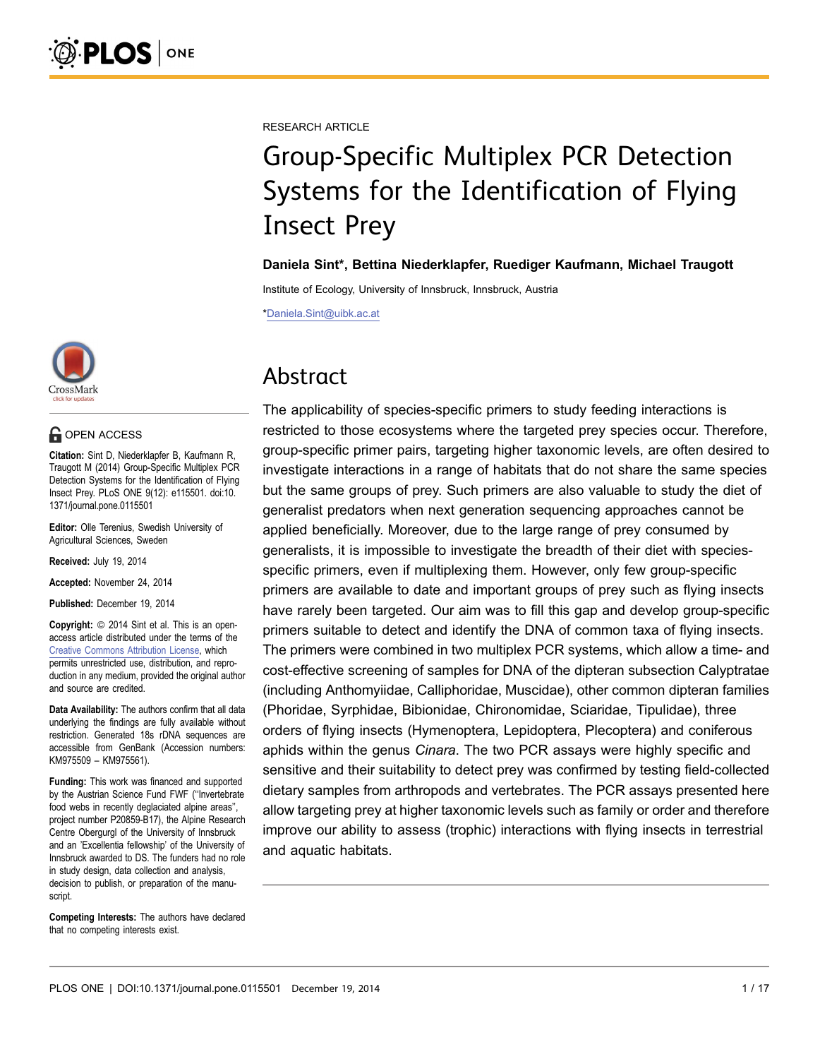CrossMark

#### **OPEN ACCESS**

Citation: Sint D, Niederklapfer B, Kaufmann R, Traugott M (2014) Group-Specific Multiplex PCR Detection Systems for the Identification of Flying Insect Prey. PLoS ONE 9(12): e115501. doi:10. 1371/journal.pone.0115501

Editor: Olle Terenius, Swedish University of Agricultural Sciences, Sweden

Received: July 19, 2014

Accepted: November 24, 2014

Published: December 19, 2014

**Copyright:** © 2014 Sint et al. This is an openaccess article distributed under the terms of the [Creative Commons Attribution License,](http://creativecommons.org/licenses/by/4.0/) which permits unrestricted use, distribution, and reproduction in any medium, provided the original author and source are credited.

Data Availability: The authors confirm that all data underlying the findings are fully available without restriction. Generated 18s rDNA sequences are accessible from GenBank (Accession numbers: KM975509 – KM975561).

Funding: This work was financed and supported by the Austrian Science Fund FWF (''Invertebrate food webs in recently deglaciated alpine areas'', project number P20859-B17), the Alpine Research Centre Obergurgl of the University of Innsbruck and an 'Excellentia fellowship' of the University of Innsbruck awarded to DS. The funders had no role in study design, data collection and analysis, decision to publish, or preparation of the manuscript.

Competing Interests: The authors have declared that no competing interests exist.

RESEARCH ARTICLE

# Group-Specific Multiplex PCR Detection Systems for the Identification of Flying Insect Prey

Daniela Sint\*, Bettina Niederklapfer, Ruediger Kaufmann, Michael Traugott

Institute of Ecology, University of Innsbruck, Innsbruck, Austria

\*Daniela.Sint@uibk.ac.at

# Abstract

The applicability of species-specific primers to study feeding interactions is restricted to those ecosystems where the targeted prey species occur. Therefore, group-specific primer pairs, targeting higher taxonomic levels, are often desired to investigate interactions in a range of habitats that do not share the same species but the same groups of prey. Such primers are also valuable to study the diet of generalist predators when next generation sequencing approaches cannot be applied beneficially. Moreover, due to the large range of prey consumed by generalists, it is impossible to investigate the breadth of their diet with speciesspecific primers, even if multiplexing them. However, only few group-specific primers are available to date and important groups of prey such as flying insects have rarely been targeted. Our aim was to fill this gap and develop group-specific primers suitable to detect and identify the DNA of common taxa of flying insects. The primers were combined in two multiplex PCR systems, which allow a time- and cost-effective screening of samples for DNA of the dipteran subsection Calyptratae (including Anthomyiidae, Calliphoridae, Muscidae), other common dipteran families (Phoridae, Syrphidae, Bibionidae, Chironomidae, Sciaridae, Tipulidae), three orders of flying insects (Hymenoptera, Lepidoptera, Plecoptera) and coniferous aphids within the genus Cinara. The two PCR assays were highly specific and sensitive and their suitability to detect prey was confirmed by testing field-collected dietary samples from arthropods and vertebrates. The PCR assays presented here allow targeting prey at higher taxonomic levels such as family or order and therefore improve our ability to assess (trophic) interactions with flying insects in terrestrial and aquatic habitats.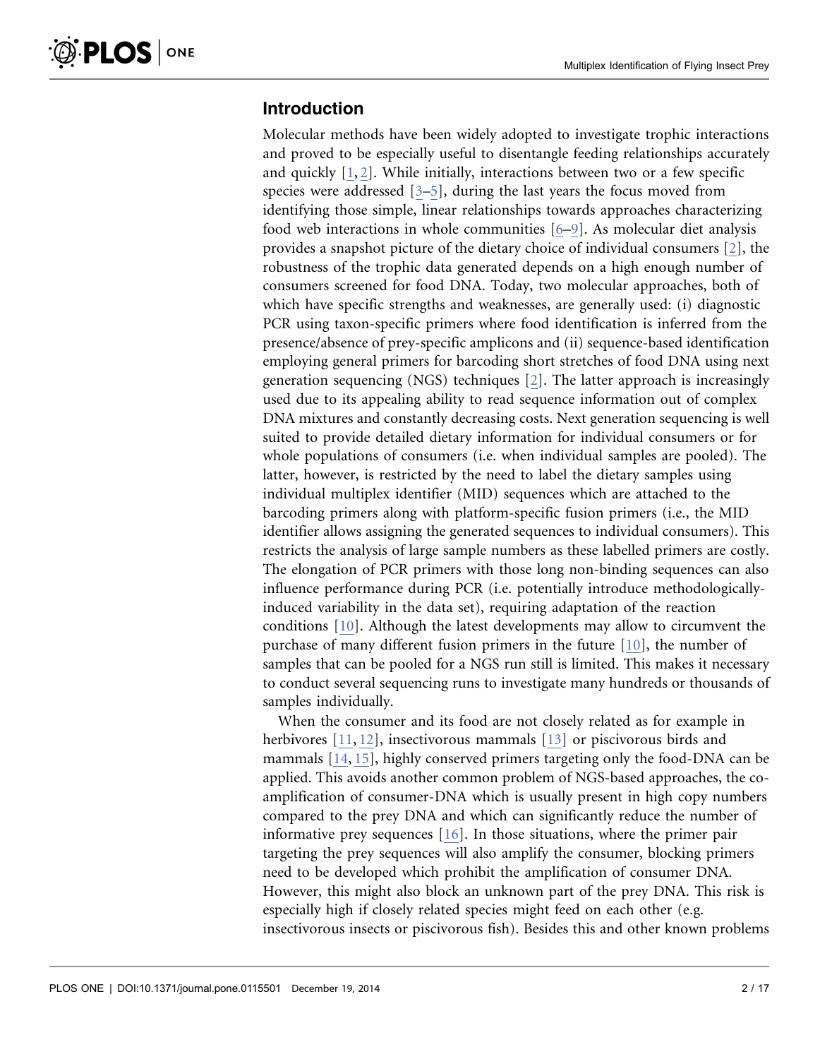# Introduction

Molecular methods have been widely adopted to investigate trophic interactions and proved to be especially useful to disentangle feeding relationships accurately and quickly  $[1, 2]$  $[1, 2]$ . While initially, interactions between two or a few specific species were addressed [\[3–5\]](#page-14-0), during the last years the focus moved from identifying those simple, linear relationships towards approaches characterizing food web interactions in whole communities [\[6–9\]](#page-14-0). As molecular diet analysis provides a snapshot picture of the dietary choice of individual consumers [\[2\],](#page-14-0) the robustness of the trophic data generated depends on a high enough number of consumers screened for food DNA. Today, two molecular approaches, both of which have specific strengths and weaknesses, are generally used: (i) diagnostic PCR using taxon-specific primers where food identification is inferred from the presence/absence of prey-specific amplicons and (ii) sequence-based identification employing general primers for barcoding short stretches of food DNA using next generation sequencing (NGS) techniques [\[2\]](#page-14-0). The latter approach is increasingly used due to its appealing ability to read sequence information out of complex DNA mixtures and constantly decreasing costs. Next generation sequencing is well suited to provide detailed dietary information for individual consumers or for whole populations of consumers (i.e. when individual samples are pooled). The latter, however, is restricted by the need to label the dietary samples using individual multiplex identifier (MID) sequences which are attached to the barcoding primers along with platform-specific fusion primers (i.e., the MID identifier allows assigning the generated sequences to individual consumers). This restricts the analysis of large sample numbers as these labelled primers are costly. The elongation of PCR primers with those long non-binding sequences can also influence performance during PCR (i.e. potentially introduce methodologicallyinduced variability in the data set), requiring adaptation of the reaction conditions [\[10\].](#page-14-0) Although the latest developments may allow to circumvent the purchase of many different fusion primers in the future [\[10\],](#page-14-0) the number of samples that can be pooled for a NGS run still is limited. This makes it necessary to conduct several sequencing runs to investigate many hundreds or thousands of samples individually.

When the consumer and its food are not closely related as for example in herbivores [\[11,](#page-14-0) [12](#page-15-0)[\],](#page-14-0) insectivorous mammals [\[13\]](#page-15-0) or piscivorous birds and mammals [\[14,](#page-15-0) [15\]](#page-15-0), highly conserved primers targeting only the food-DNA can be applied. This avoids another common problem of NGS-based approaches, the coamplification of consumer-DNA which is usually present in high copy numbers compared to the prey DNA and which can significantly reduce the number of informative prey sequences [\[16\]](#page-15-0). In those situations, where the primer pair targeting the prey sequences will also amplify the consumer, blocking primers need to be developed which prohibit the amplification of consumer DNA. However, this might also block an unknown part of the prey DNA. This risk is especially high if closely related species might feed on each other (e.g. insectivorous insects or piscivorous fish). Besides this and other known problems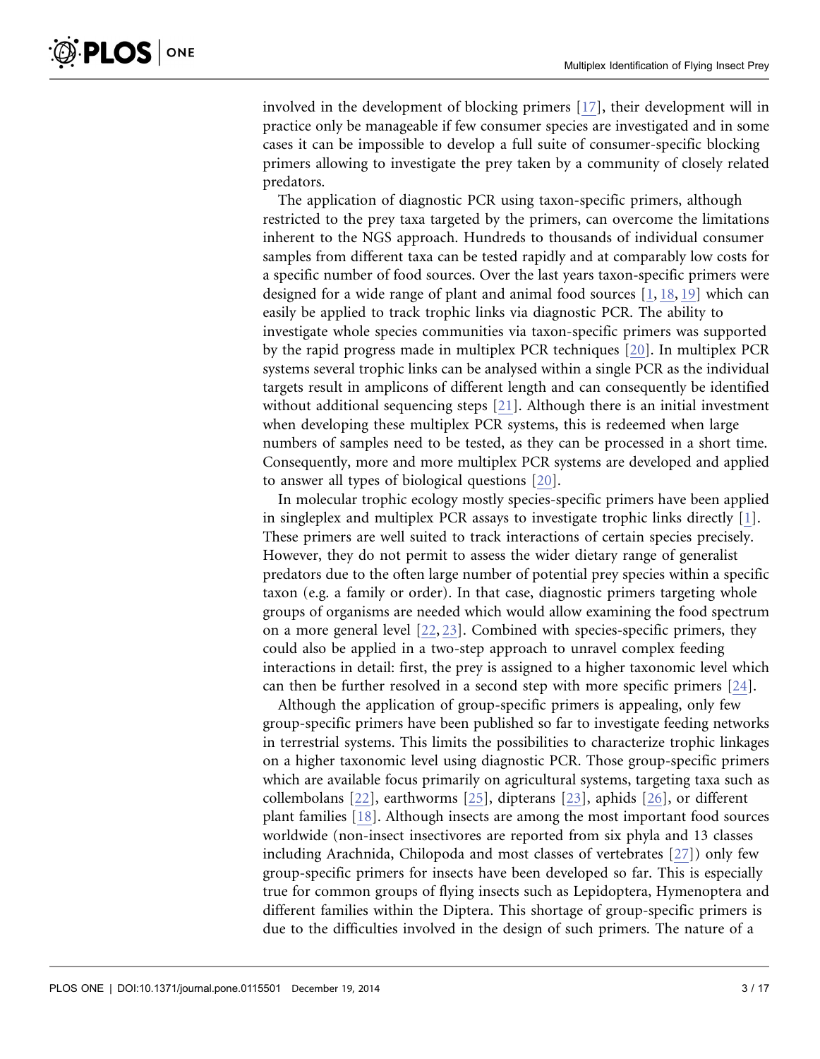involved in the development of blocking primers [\[17\],](#page-15-0) their development will in practice only be manageable if few consumer species are investigated and in some cases it can be impossible to develop a full suite of consumer-specific blocking primers allowing to investigate the prey taken by a community of closely related predators.

The application of diagnostic PCR using taxon-specific primers, although restricted to the prey taxa targeted by the primers, can overcome the limitations inherent to the NGS approach. Hundreds to thousands of individual consumer samples from different taxa can be tested rapidly and at comparably low costs for a specific number of food sources. Over the last years taxon-specific primers were designed for a wide range of plant and animal food sources [\[1,](#page-14-0) [18,](#page-15-0) [19](#page-15-0)[\]](#page-14-0) which can easily be applied to track trophic links via diagnostic PCR. The ability to investigate whole species communities via taxon-specific primers was supported by the rapid progress made in multiplex PCR techniques [\[20\].](#page-15-0) In multiplex PCR systems several trophic links can be analysed within a single PCR as the individual targets result in amplicons of different length and can consequently be identified without additional sequencing steps [\[21\]](#page-15-0). Although there is an initial investment when developing these multiplex PCR systems, this is redeemed when large numbers of samples need to be tested, as they can be processed in a short time. Consequently, more and more multiplex PCR systems are developed and applied to answer all types of biological questions [\[20\].](#page-15-0)

In molecular trophic ecology mostly species-specific primers have been applied in singleplex and multiplex PCR assays to investigate trophic links directly [\[1\].](#page-14-0) These primers are well suited to track interactions of certain species precisely. However, they do not permit to assess the wider dietary range of generalist predators due to the often large number of potential prey species within a specific taxon (e.g. a family or order). In that case, diagnostic primers targeting whole groups of organisms are needed which would allow examining the food spectrum on a more general level [\[22,](#page-15-0) [23\].](#page-15-0) Combined with species-specific primers, they could also be applied in a two-step approach to unravel complex feeding interactions in detail: first, the prey is assigned to a higher taxonomic level which can then be further resolved in a second step with more specific primers [\[24\].](#page-15-0)

Although the application of group-specific primers is appealing, only few group-specific primers have been published so far to investigate feeding networks in terrestrial systems. This limits the possibilities to characterize trophic linkages on a higher taxonomic level using diagnostic PCR. Those group-specific primers which are available focus primarily on agricultural systems, targeting taxa such as collembolans [\[22\]](#page-15-0), earthworms [\[25\]](#page-15-0), dipterans [\[23\]](#page-15-0), aphids [\[26\],](#page-15-0) or different plant families [\[18\]](#page-15-0). Although insects are among the most important food sources worldwide (non-insect insectivores are reported from six phyla and 13 classes including Arachnida, Chilopoda and most classes of vertebrates [\[27\]\)](#page-15-0) only few group-specific primers for insects have been developed so far. This is especially true for common groups of flying insects such as Lepidoptera, Hymenoptera and different families within the Diptera. This shortage of group-specific primers is due to the difficulties involved in the design of such primers. The nature of a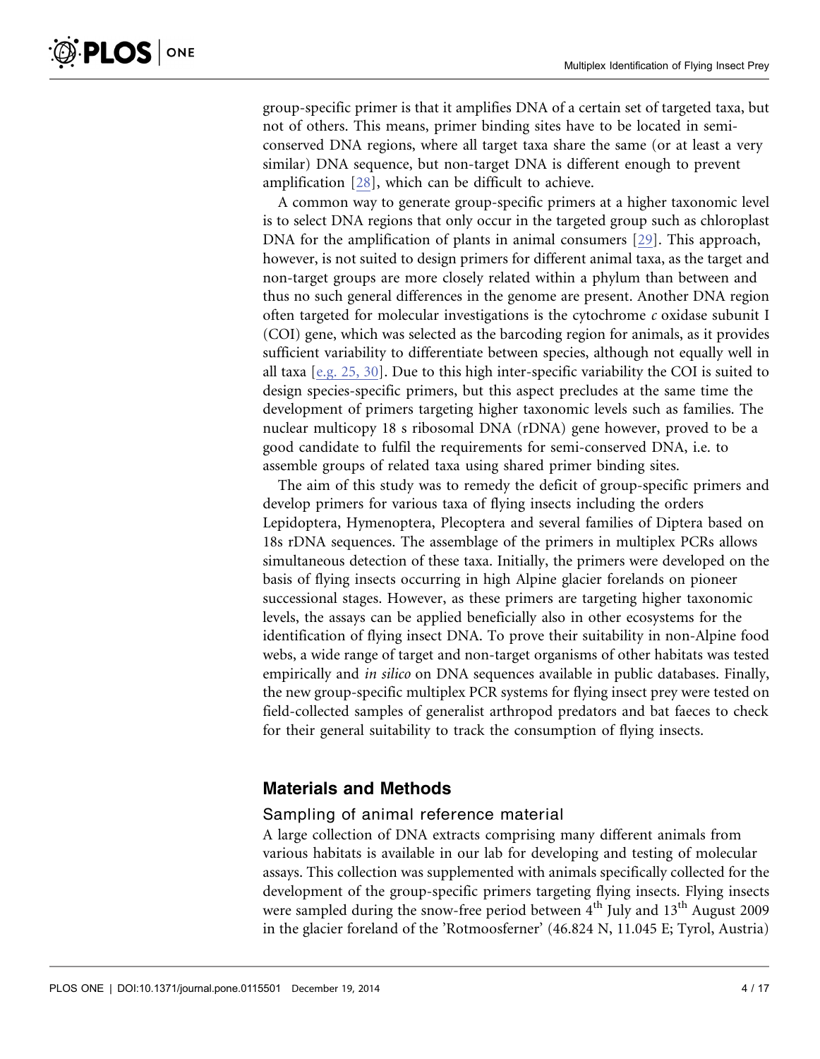group-specific primer is that it amplifies DNA of a certain set of targeted taxa, but not of others. This means, primer binding sites have to be located in semiconserved DNA regions, where all target taxa share the same (or at least a very similar) DNA sequence, but non-target DNA is different enough to prevent amplification [\[28\]](#page-15-0), which can be difficult to achieve.

A common way to generate group-specific primers at a higher taxonomic level is to select DNA regions that only occur in the targeted group such as chloroplast DNA for the amplification of plants in animal consumers [\[29\].](#page-15-0) This approach, however, is not suited to design primers for different animal taxa, as the target and non-target groups are more closely related within a phylum than between and thus no such general differences in the genome are present. Another DNA region often targeted for molecular investigations is the cytochrome  $c$  oxidase subunit I (COI) gene, which was selected as the barcoding region for animals, as it provides sufficient variability to differentiate between species, although not equally well in all taxa  $[e.g. 25, 30]$ . Due to this high inter-specific variability the COI is suited to design species-specific primers, but this aspect precludes at the same time the development of primers targeting higher taxonomic levels such as families. The nuclear multicopy 18 s ribosomal DNA (rDNA) gene however, proved to be a good candidate to fulfil the requirements for semi-conserved DNA, i.e. to assemble groups of related taxa using shared primer binding sites.

The aim of this study was to remedy the deficit of group-specific primers and develop primers for various taxa of flying insects including the orders Lepidoptera, Hymenoptera, Plecoptera and several families of Diptera based on 18s rDNA sequences. The assemblage of the primers in multiplex PCRs allows simultaneous detection of these taxa. Initially, the primers were developed on the basis of flying insects occurring in high Alpine glacier forelands on pioneer successional stages. However, as these primers are targeting higher taxonomic levels, the assays can be applied beneficially also in other ecosystems for the identification of flying insect DNA. To prove their suitability in non-Alpine food webs, a wide range of target and non-target organisms of other habitats was tested empirically and *in silico* on DNA sequences available in public databases. Finally, the new group-specific multiplex PCR systems for flying insect prey were tested on field-collected samples of generalist arthropod predators and bat faeces to check for their general suitability to track the consumption of flying insects.

# Materials and Methods

#### Sampling of animal reference material

A large collection of DNA extracts comprising many different animals from various habitats is available in our lab for developing and testing of molecular assays. This collection was supplemented with animals specifically collected for the development of the group-specific primers targeting flying insects. Flying insects were sampled during the snow-free period between 4<sup>th</sup> July and 13<sup>th</sup> August 2009 in the glacier foreland of the 'Rotmoosferner' (46.824 N, 11.045 E; Tyrol, Austria)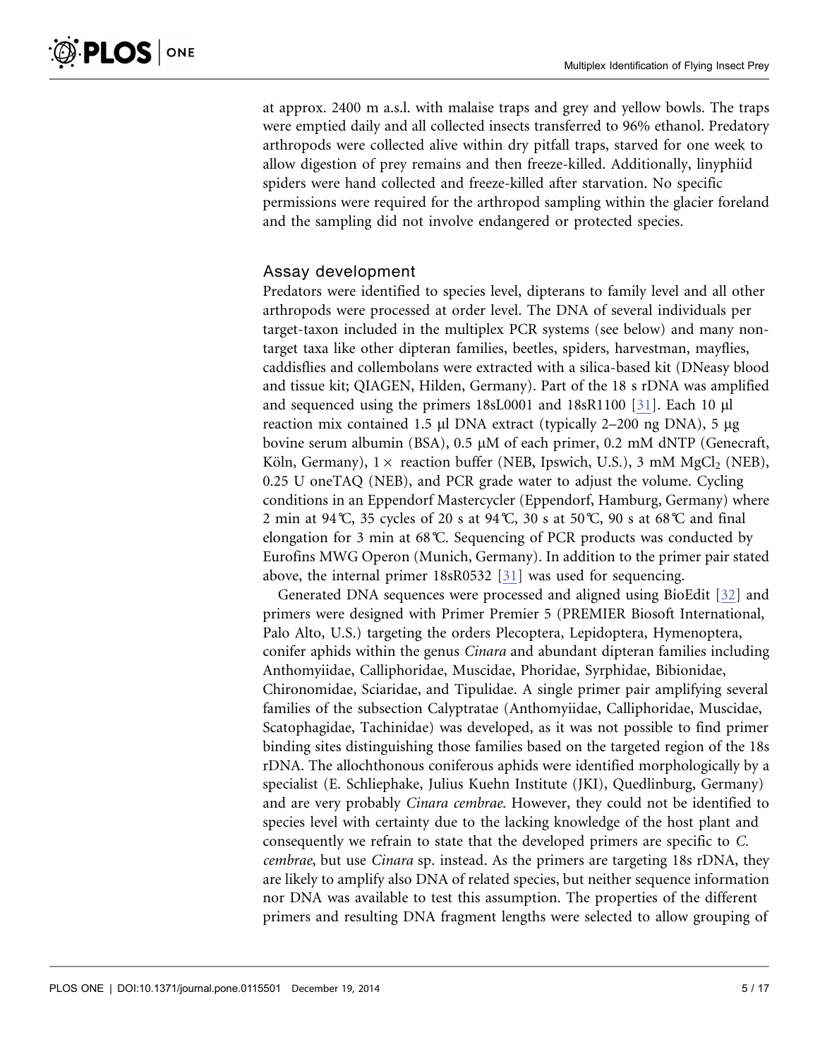at approx. 2400 m a.s.l. with malaise traps and grey and yellow bowls. The traps were emptied daily and all collected insects transferred to 96% ethanol. Predatory arthropods were collected alive within dry pitfall traps, starved for one week to allow digestion of prey remains and then freeze-killed. Additionally, linyphiid spiders were hand collected and freeze-killed after starvation. No specific permissions were required for the arthropod sampling within the glacier foreland and the sampling did not involve endangered or protected species.

#### Assay development

Predators were identified to species level, dipterans to family level and all other arthropods were processed at order level. The DNA of several individuals per target-taxon included in the multiplex PCR systems (see below) and many nontarget taxa like other dipteran families, beetles, spiders, harvestman, mayflies, caddisflies and collembolans were extracted with a silica-based kit (DNeasy blood and tissue kit; QIAGEN, Hilden, Germany). Part of the 18 s rDNA was amplified and sequenced using the primers 18sL0001 and 18sR1100 [\[31\]](#page-15-0). Each 10 µl reaction mix contained 1.5  $\mu$ l DNA extract (typically 2–200 ng DNA), 5  $\mu$ g bovine serum albumin (BSA), 0.5 µM of each primer, 0.2 mM dNTP (Genecraft, Köln, Germany),  $1 \times$  reaction buffer (NEB, Ipswich, U.S.), 3 mM MgCl<sub>2</sub> (NEB), 0.25 U oneTAQ (NEB), and PCR grade water to adjust the volume. Cycling conditions in an Eppendorf Mastercycler (Eppendorf, Hamburg, Germany) where 2 min at 94°C, 35 cycles of 20 s at 94°C, 30 s at 50°C, 90 s at 68°C and final elongation for 3 min at 68˚C. Sequencing of PCR products was conducted by Eurofins MWG Operon (Munich, Germany). In addition to the primer pair stated above, the internal primer 18sR0532 [\[31\]](#page-15-0) was used for sequencing.

Generated DNA sequences were processed and aligned using BioEdit [\[32\]](#page-15-0) and primers were designed with Primer Premier 5 (PREMIER Biosoft International, Palo Alto, U.S.) targeting the orders Plecoptera, Lepidoptera, Hymenoptera, conifer aphids within the genus Cinara and abundant dipteran families including Anthomyiidae, Calliphoridae, Muscidae, Phoridae, Syrphidae, Bibionidae, Chironomidae, Sciaridae, and Tipulidae. A single primer pair amplifying several families of the subsection Calyptratae (Anthomyiidae, Calliphoridae, Muscidae, Scatophagidae, Tachinidae) was developed, as it was not possible to find primer binding sites distinguishing those families based on the targeted region of the 18s rDNA. The allochthonous coniferous aphids were identified morphologically by a specialist (E. Schliephake, Julius Kuehn Institute (JKI), Quedlinburg, Germany) and are very probably Cinara cembrae. However, they could not be identified to species level with certainty due to the lacking knowledge of the host plant and consequently we refrain to state that the developed primers are specific to C. cembrae, but use Cinara sp. instead. As the primers are targeting 18s rDNA, they are likely to amplify also DNA of related species, but neither sequence information nor DNA was available to test this assumption. The properties of the different primers and resulting DNA fragment lengths were selected to allow grouping of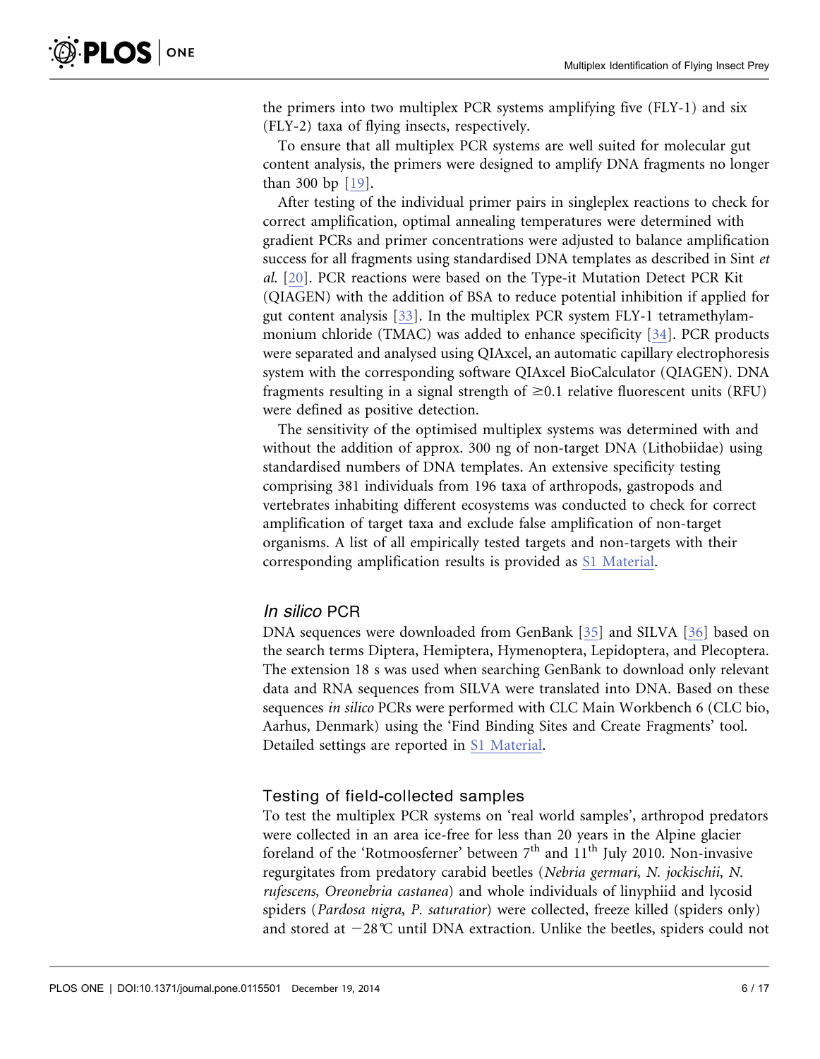the primers into two multiplex PCR systems amplifying five (FLY-1) and six (FLY-2) taxa of flying insects, respectively.

To ensure that all multiplex PCR systems are well suited for molecular gut content analysis, the primers were designed to amplify DNA fragments no longer than 300 bp [\[19\].](#page-15-0)

After testing of the individual primer pairs in singleplex reactions to check for correct amplification, optimal annealing temperatures were determined with gradient PCRs and primer concentrations were adjusted to balance amplification success for all fragments using standardised DNA templates as described in Sint et al. [\[20\].](#page-15-0) PCR reactions were based on the Type-it Mutation Detect PCR Kit (QIAGEN) with the addition of BSA to reduce potential inhibition if applied for gut content analysis [\[33\].](#page-15-0) In the multiplex PCR system FLY-1 tetramethylammonium chloride (TMAC) was added to enhance specificity [\[34\].](#page-15-0) PCR products were separated and analysed using QIAxcel, an automatic capillary electrophoresis system with the corresponding software QIAxcel BioCalculator (QIAGEN). DNA fragments resulting in a signal strength of  $\geq 0.1$  relative fluorescent units (RFU) were defined as positive detection.

The sensitivity of the optimised multiplex systems was determined with and without the addition of approx. 300 ng of non-target DNA (Lithobiidae) using standardised numbers of DNA templates. An extensive specificity testing comprising 381 individuals from 196 taxa of arthropods, gastropods and vertebrates inhabiting different ecosystems was conducted to check for correct amplification of target taxa and exclude false amplification of non-target organisms. A list of all empirically tested targets and non-targets with their corresponding amplification results is provided as [S1 Material.](#page-13-0)

#### In silico PCR

DNA sequences were downloaded from GenBank [\[35\]](#page-16-0) and SILVA [\[36\]](#page-16-0) based on the search terms Diptera, Hemiptera, Hymenoptera, Lepidoptera, and Plecoptera. The extension 18 s was used when searching GenBank to download only relevant data and RNA sequences from SILVA were translated into DNA. Based on these sequences in silico PCRs were performed with CLC Main Workbench 6 (CLC bio, Aarhus, Denmark) using the 'Find Binding Sites and Create Fragments' tool. Detailed settings are reported in [S1 Material](#page-13-0).

#### Testing of field-collected samples

To test the multiplex PCR systems on 'real world samples', arthropod predators were collected in an area ice-free for less than 20 years in the Alpine glacier foreland of the 'Rotmoosferner' between  $7<sup>th</sup>$  and  $11<sup>th</sup>$  July 2010. Non-invasive regurgitates from predatory carabid beetles (Nebria germari, N. jockischii, N. rufescens, Oreonebria castanea) and whole individuals of linyphiid and lycosid spiders (Pardosa nigra, P. saturatior) were collected, freeze killed (spiders only) and stored at  $-28^{\circ}$ C until DNA extraction. Unlike the beetles, spiders could not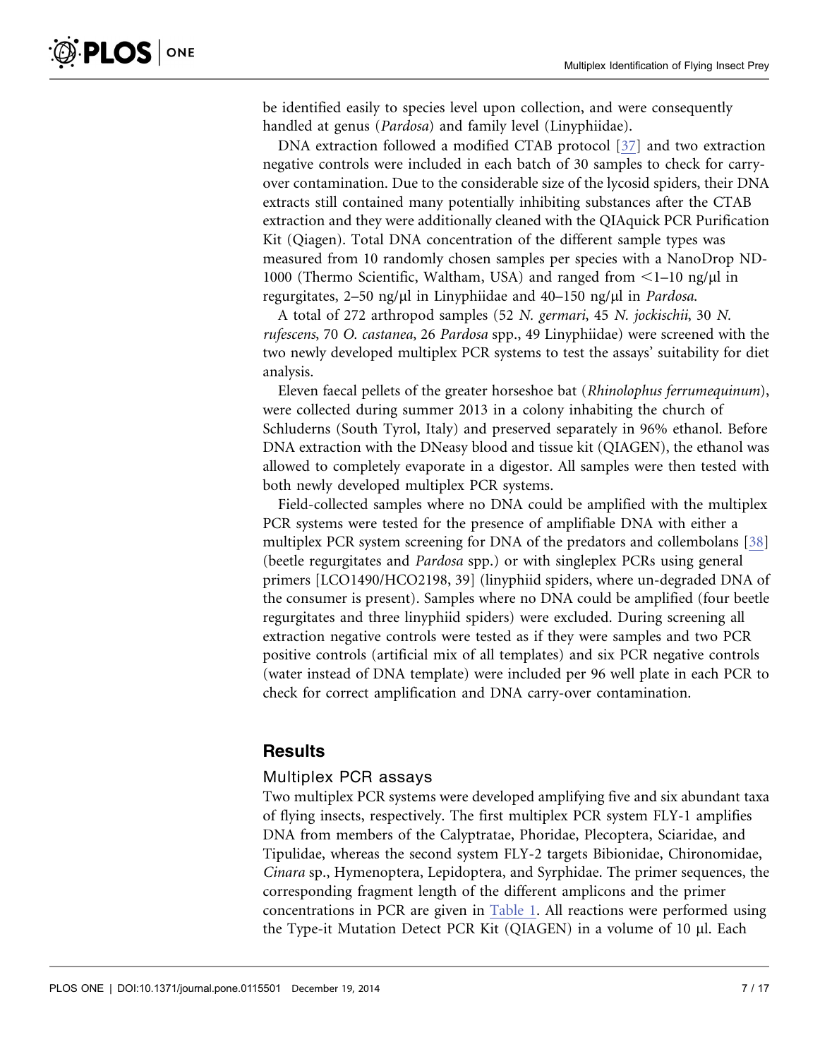be identified easily to species level upon collection, and were consequently handled at genus (Pardosa) and family level (Linyphiidae).

DNA extraction followed a modified CTAB protocol [\[37\]](#page-16-0) and two extraction negative controls were included in each batch of 30 samples to check for carryover contamination. Due to the considerable size of the lycosid spiders, their DNA extracts still contained many potentially inhibiting substances after the CTAB extraction and they were additionally cleaned with the QIAquick PCR Purification Kit (Qiagen). Total DNA concentration of the different sample types was measured from 10 randomly chosen samples per species with a NanoDrop ND-1000 (Thermo Scientific, Waltham, USA) and ranged from  $\leq$  1–10 ng/ $\mu$ l in regurgitates,  $2-50$  ng/ $\mu$ l in Linyphiidae and  $40-150$  ng/ $\mu$ l in Pardosa.

A total of 272 arthropod samples (52 N. germari, 45 N. jockischii, 30 N. rufescens, 70 O. castanea, 26 Pardosa spp., 49 Linyphiidae) were screened with the two newly developed multiplex PCR systems to test the assays' suitability for diet analysis.

Eleven faecal pellets of the greater horseshoe bat (Rhinolophus ferrumequinum), were collected during summer 2013 in a colony inhabiting the church of Schluderns (South Tyrol, Italy) and preserved separately in 96% ethanol. Before DNA extraction with the DNeasy blood and tissue kit (QIAGEN), the ethanol was allowed to completely evaporate in a digestor. All samples were then tested with both newly developed multiplex PCR systems.

Field-collected samples where no DNA could be amplified with the multiplex PCR systems were tested for the presence of amplifiable DNA with either a multiplex PCR system screening for DNA of the predators and collembolans [\[38\]](#page-16-0) (beetle regurgitates and Pardosa spp.) or with singleplex PCRs using general primers [LCO1490/HCO2198, 39] (linyphiid spiders, where un-degraded DNA of the consumer is present). Samples where no DNA could be amplified (four beetle regurgitates and three linyphiid spiders) were excluded. During screening all extraction negative controls were tested as if they were samples and two PCR positive controls (artificial mix of all templates) and six PCR negative controls (water instead of DNA template) were included per 96 well plate in each PCR to check for correct amplification and DNA carry-over contamination.

# **Results**

#### Multiplex PCR assays

Two multiplex PCR systems were developed amplifying five and six abundant taxa of flying insects, respectively. The first multiplex PCR system FLY-1 amplifies DNA from members of the Calyptratae, Phoridae, Plecoptera, Sciaridae, and Tipulidae, whereas the second system FLY-2 targets Bibionidae, Chironomidae, Cinara sp., Hymenoptera, Lepidoptera, and Syrphidae. The primer sequences, the corresponding fragment length of the different amplicons and the primer concentrations in PCR are given in [Table 1.](#page-7-0) All reactions were performed using the Type-it Mutation Detect PCR Kit (QIAGEN) in a volume of 10 µl. Each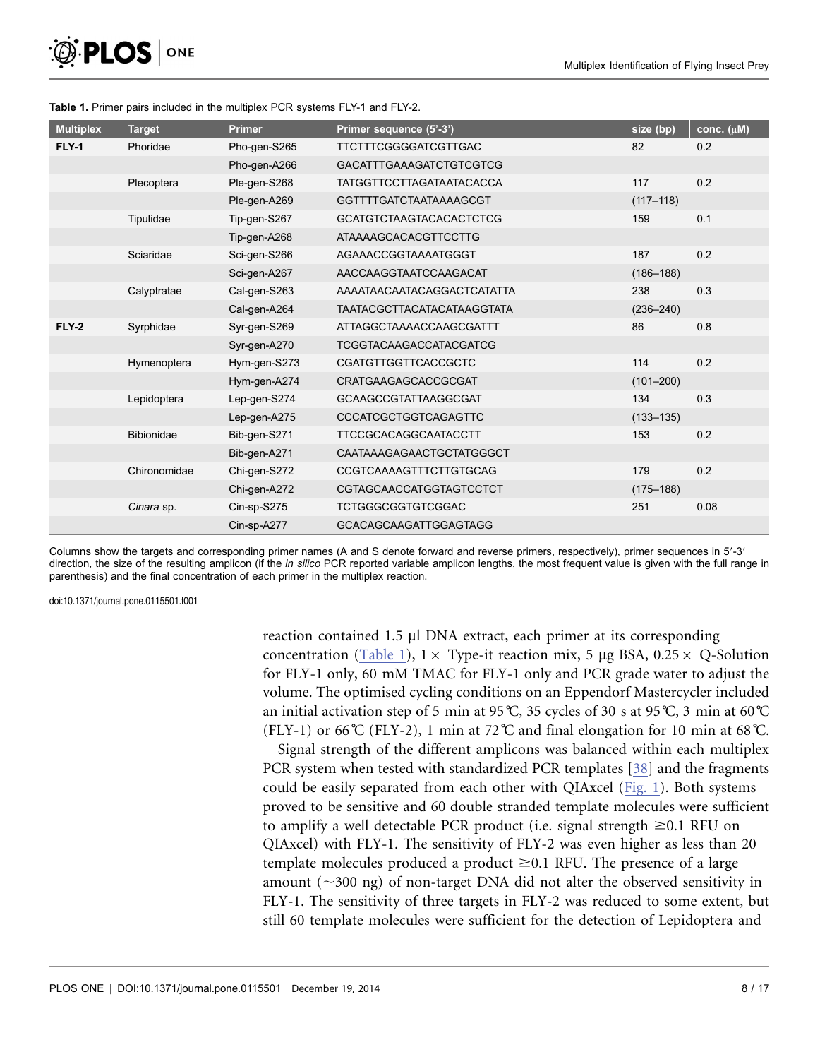<span id="page-7-0"></span>

| <b>Multiplex</b> | <b>Target</b>     | <b>Primer</b> | Primer sequence (5'-3')           | size (bp)     | conc. (µM) |
|------------------|-------------------|---------------|-----------------------------------|---------------|------------|
| <b>FLY-1</b>     | Phoridae          | Pho-gen-S265  | <b>TTCTTTCGGGGATCGTTGAC</b>       | 82            | 0.2        |
|                  |                   | Pho-gen-A266  | <b>GACATTTGAAAGATCTGTCGTCG</b>    |               |            |
|                  | Plecoptera        | Ple-gen-S268  | <b>TATGGTTCCTTAGATAATACACCA</b>   | 117           | 0.2        |
|                  |                   | Ple-gen-A269  | <b>GGTTTTGATCTAATAAAAGCGT</b>     | $(117 - 118)$ |            |
|                  | Tipulidae         | Tip-gen-S267  | <b>GCATGTCTAAGTACACACTCTCG</b>    | 159           | 0.1        |
|                  |                   | Tip-gen-A268  | ATAAAAGCACACGTTCCTTG              |               |            |
|                  | Sciaridae         | Sci-gen-S266  | AGAAACCGGTAAAATGGGT               | 187           | 0.2        |
|                  |                   | Sci-gen-A267  | AACCAAGGTAATCCAAGACAT             | $(186 - 188)$ |            |
|                  | Calyptratae       | Cal-gen-S263  | AAAATAACAATACAGGACTCATATTA        | 238           | 0.3        |
|                  |                   | Cal-gen-A264  | <b>TAATACGCTTACATACATAAGGTATA</b> | $(236 - 240)$ |            |
| <b>FLY-2</b>     | Syrphidae         | Syr-gen-S269  | ATTAGGCTAAAACCAAGCGATTT           | 86            | 0.8        |
|                  |                   | Syr-gen-A270  | <b>TCGGTACAAGACCATACGATCG</b>     |               |            |
|                  | Hymenoptera       | Hym-gen-S273  | <b>CGATGTTGGTTCACCGCTC</b>        | 114           | 0.2        |
|                  |                   | Hym-gen-A274  | <b>CRATGAAGAGCACCGCGAT</b>        | $(101 - 200)$ |            |
|                  | Lepidoptera       | Lep-gen-S274  | <b>GCAAGCCGTATTAAGGCGAT</b>       | 134           | 0.3        |
|                  |                   | Lep-gen-A275  | <b>CCCATCGCTGGTCAGAGTTC</b>       | $(133 - 135)$ |            |
|                  | <b>Bibionidae</b> | Bib-gen-S271  | <b>TTCCGCACAGGCAATACCTT</b>       | 153           | 0.2        |
|                  |                   | Bib-gen-A271  | CAATAAAGAGAACTGCTATGGGCT          |               |            |
|                  | Chironomidae      | Chi-gen-S272  | <b>CCGTCAAAAGTTTCTTGTGCAG</b>     | 179           | 0.2        |
|                  |                   | Chi-gen-A272  | <b>CGTAGCAACCATGGTAGTCCTCT</b>    | $(175 - 188)$ |            |
|                  | Cinara sp.        | Cin-sp-S275   | <b>TCTGGGCGGTGTCGGAC</b>          | 251           | 0.08       |
|                  |                   | Cin-sp-A277   | <b>GCACAGCAAGATTGGAGTAGG</b>      |               |            |

#### Table 1. Primer pairs included in the multiplex PCR systems FLY-1 and FLY-2.

Columns show the targets and corresponding primer names (A and S denote forward and reverse primers, respectively), primer sequences in 5'-3' direction, the size of the resulting amplicon (if the in silico PCR reported variable amplicon lengths, the most frequent value is given with the full range in parenthesis) and the final concentration of each primer in the multiplex reaction.

doi:10.1371/journal.pone.0115501.t001

reaction contained 1.5 µl DNA extract, each primer at its corresponding concentration (Table 1),  $1 \times$  Type-it reaction mix, 5 µg BSA, 0.25  $\times$  Q-Solution for FLY-1 only, 60 mM TMAC for FLY-1 only and PCR grade water to adjust the volume. The optimised cycling conditions on an Eppendorf Mastercycler included an initial activation step of 5 min at 95 $°C$ , 35 cycles of 30 s at 95 $°C$ , 3 min at 60 $°C$ (FLY-1) or 66°C (FLY-2), 1 min at 72°C and final elongation for 10 min at 68°C.

Signal strength of the different amplicons was balanced within each multiplex PCR system when tested with standardized PCR templates [\[38\]](#page-16-0) and the fragments could be easily separated from each other with QIAxcel [\(Fig. 1\)](#page-8-0). Both systems proved to be sensitive and 60 double stranded template molecules were sufficient to amplify a well detectable PCR product (i.e. signal strength  $\geq 0.1$  RFU on QIAxcel) with FLY-1. The sensitivity of FLY-2 was even higher as less than 20 template molecules produced a product  $\geq 0.1$  RFU. The presence of a large amount  $(\sim)300$  ng) of non-target DNA did not alter the observed sensitivity in FLY-1. The sensitivity of three targets in FLY-2 was reduced to some extent, but still 60 template molecules were sufficient for the detection of Lepidoptera and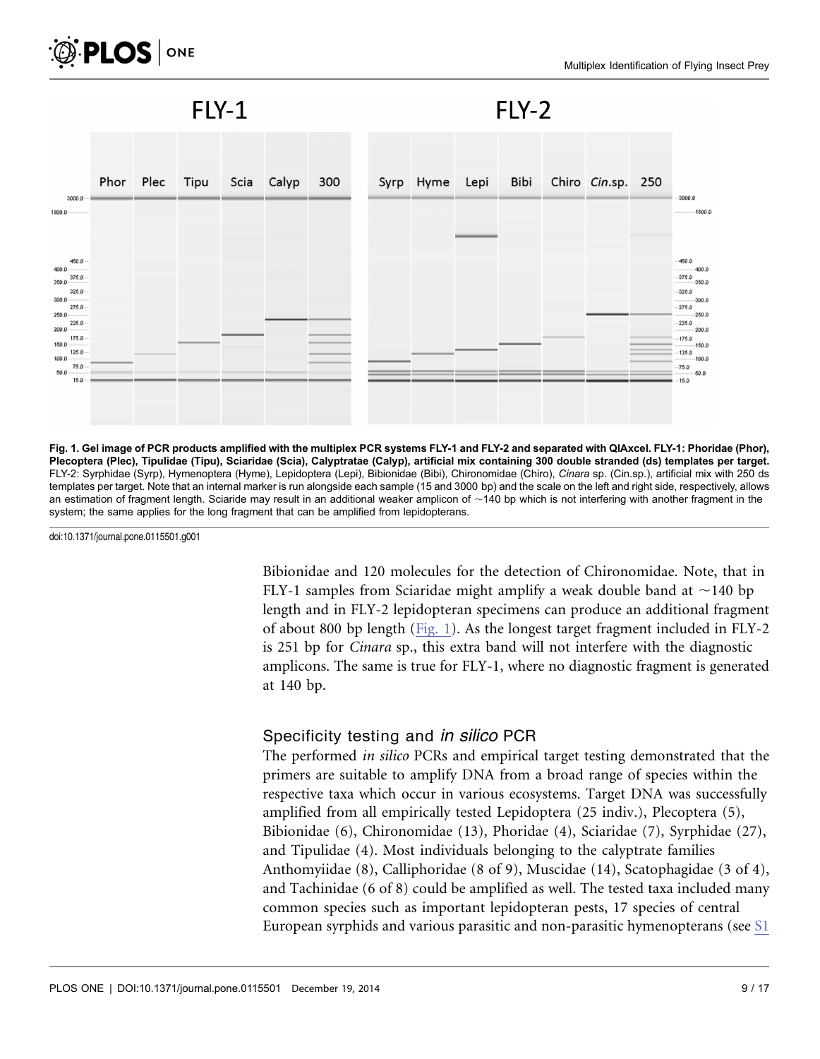<span id="page-8-0"></span>

 $FLY-1$ 

 $FLY-2$ 



Fig. 1. Gel image of PCR products amplified with the multiplex PCR systems FLY-1 and FLY-2 and separated with QIAxcel. FLY-1: Phoridae (Phor), Plecoptera (Plec), Tipulidae (Tipu), Sciaridae (Scia), Calyptratae (Calyp), artificial mix containing 300 double stranded (ds) templates per target. FLY-2: Syrphidae (Syrp), Hymenoptera (Hyme), Lepidoptera (Lepi), Bibionidae (Bibi), Chironomidae (Chiro), Cinara sp. (Cin.sp.), artificial mix with 250 ds templates per target. Note that an internal marker is run alongside each sample (15 and 3000 bp) and the scale on the left and right side, respectively, allows an estimation of fragment length. Sciaride may result in an additional weaker amplicon of  $\sim$ 140 bp which is not interfering with another fragment in the system; the same applies for the long fragment that can be amplified from lepidopterans.

doi:10.1371/journal.pone.0115501.g001

Bibionidae and 120 molecules for the detection of Chironomidae. Note, that in FLY-1 samples from Sciaridae might amplify a weak double band at  $\sim$ 140 bp length and in FLY-2 lepidopteran specimens can produce an additional fragment of about 800 bp length (Fig. 1). As the longest target fragment included in FLY-2 is 251 bp for Cinara sp., this extra band will not interfere with the diagnostic amplicons. The same is true for FLY-1, where no diagnostic fragment is generated at 140 bp.

#### Specificity testing and *in silico* PCR

The performed in silico PCRs and empirical target testing demonstrated that the primers are suitable to amplify DNA from a broad range of species within the respective taxa which occur in various ecosystems. Target DNA was successfully amplified from all empirically tested Lepidoptera (25 indiv.), Plecoptera (5), Bibionidae (6), Chironomidae (13), Phoridae (4), Sciaridae (7), Syrphidae (27), and Tipulidae (4). Most individuals belonging to the calyptrate families Anthomyiidae (8), Calliphoridae (8 of 9), Muscidae (14), Scatophagidae (3 of 4), and Tachinidae (6 of 8) could be amplified as well. The tested taxa included many common species such as important lepidopteran pests, 17 species of central European syrphids and various parasitic and non-parasitic hymenopterans (see [S1](#page-13-0)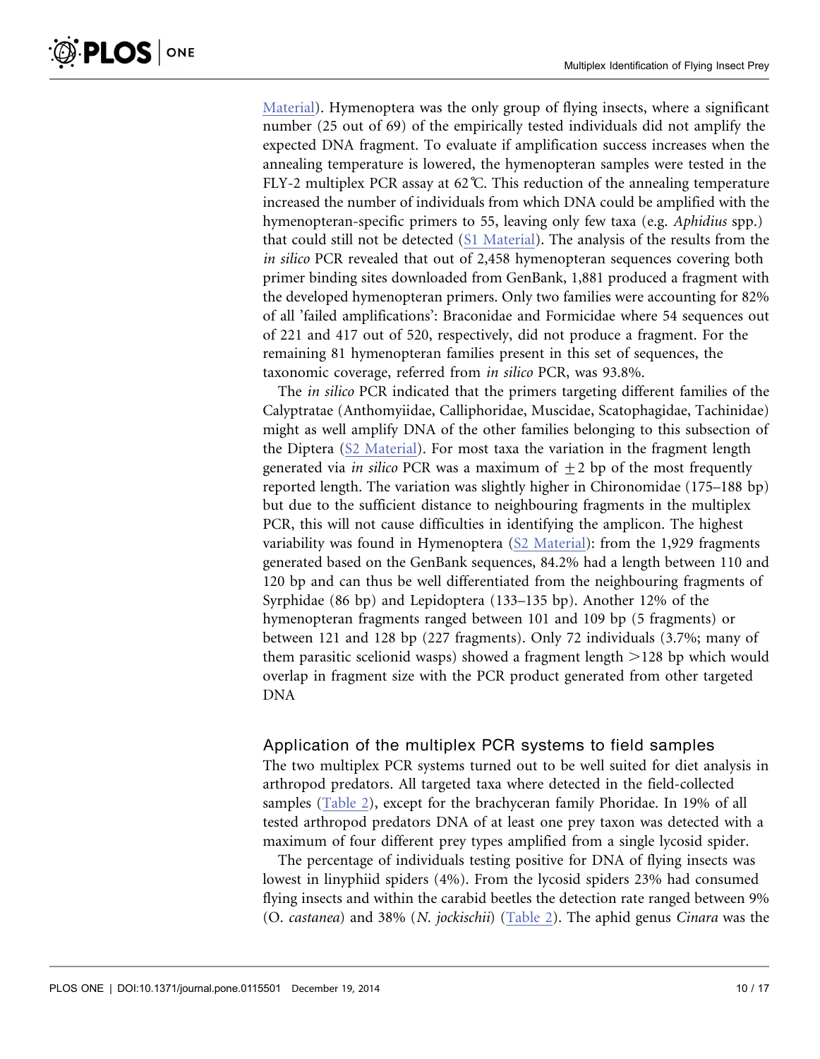[Material](#page-13-0)). Hymenoptera was the only group of flying insects, where a significant number (25 out of 69) of the empirically tested individuals did not amplify the expected DNA fragment. To evaluate if amplification success increases when the annealing temperature is lowered, the hymenopteran samples were tested in the FLY-2 multiplex PCR assay at 62°C. This reduction of the annealing temperature increased the number of individuals from which DNA could be amplified with the hymenopteran-specific primers to 55, leaving only few taxa (e.g. Aphidius spp.) that could still not be detected ([S1 Material\)](#page-13-0). The analysis of the results from the in silico PCR revealed that out of 2,458 hymenopteran sequences covering both primer binding sites downloaded from GenBank, 1,881 produced a fragment with the developed hymenopteran primers. Only two families were accounting for 82% of all 'failed amplifications': Braconidae and Formicidae where 54 sequences out of 221 and 417 out of 520, respectively, did not produce a fragment. For the remaining 81 hymenopteran families present in this set of sequences, the taxonomic coverage, referred from in silico PCR, was 93.8%.

The in silico PCR indicated that the primers targeting different families of the Calyptratae (Anthomyiidae, Calliphoridae, Muscidae, Scatophagidae, Tachinidae) might as well amplify DNA of the other families belonging to this subsection of the Diptera ([S2 Material](#page-13-0)). For most taxa the variation in the fragment length generated via *in silico* PCR was a maximum of  $+2$  bp of the most frequently reported length. The variation was slightly higher in Chironomidae (175–188 bp) but due to the sufficient distance to neighbouring fragments in the multiplex PCR, this will not cause difficulties in identifying the amplicon. The highest variability was found in Hymenoptera ([S2 Material](#page-13-0)): from the 1,929 fragments generated based on the GenBank sequences, 84.2% had a length between 110 and 120 bp and can thus be well differentiated from the neighbouring fragments of Syrphidae (86 bp) and Lepidoptera (133–135 bp). Another 12% of the hymenopteran fragments ranged between 101 and 109 bp (5 fragments) or between 121 and 128 bp (227 fragments). Only 72 individuals (3.7%; many of them parasitic scelionid wasps) showed a fragment length  $>128$  bp which would overlap in fragment size with the PCR product generated from other targeted DNA

#### Application of the multiplex PCR systems to field samples

The two multiplex PCR systems turned out to be well suited for diet analysis in arthropod predators. All targeted taxa where detected in the field-collected samples ([Table 2](#page-10-0)), except for the brachyceran family Phoridae. In 19% of all tested arthropod predators DNA of at least one prey taxon was detected with a maximum of four different prey types amplified from a single lycosid spider.

The percentage of individuals testing positive for DNA of flying insects was lowest in linyphiid spiders (4%). From the lycosid spiders 23% had consumed flying insects and within the carabid beetles the detection rate ranged between 9% (O. castanea) and 38% (N. jockischii) [\(Table 2\)](#page-10-0). The aphid genus Cinara was the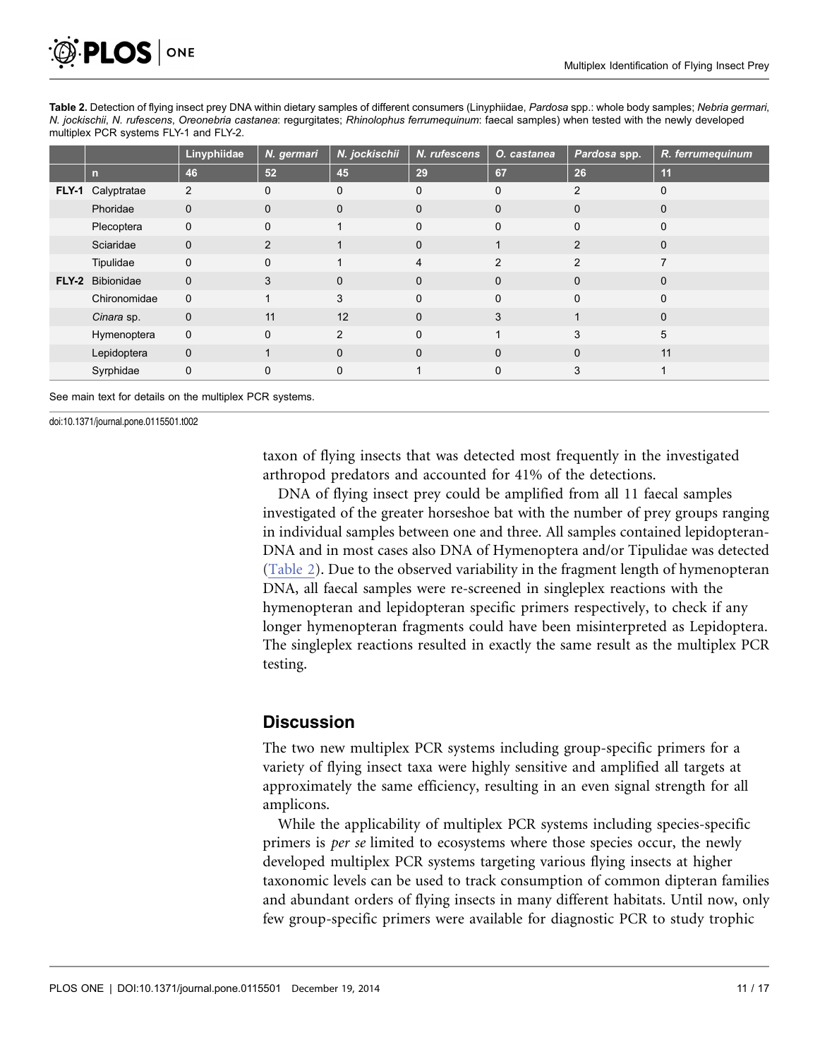<span id="page-10-0"></span>

Table 2. Detection of flying insect prey DNA within dietary samples of different consumers (Linyphiidae, Pardosa spp.: whole body samples; Nebria germari, N. jockischii, N. rufescens, Oreonebria castanea: regurgitates; Rhinolophus ferrumequinum: faecal samples) when tested with the newly developed multiplex PCR systems FLY-1 and FLY-2.

|         |                   | Linyphiidae  | N. germari   | N. jockischii | N. rufescens   | O. castanea   | Pardosa spp.   | R. ferrumequinum |
|---------|-------------------|--------------|--------------|---------------|----------------|---------------|----------------|------------------|
|         | n                 | 46           | 52           | 45            | 29             | 67            | 26             | 11               |
|         | FLY-1 Calyptratae | 2            | $\Omega$     | $\mathbf 0$   | $\mathbf 0$    | $\Omega$      | 2              | $\mathbf 0$      |
|         | Phoridae          | $\mathbf{0}$ | $\mathbf{0}$ | $\mathbf{0}$  | $\mathbf{0}$   | $\mathbf{0}$  | $\Omega$       | $\mathbf{0}$     |
|         | Plecoptera        | $\mathbf{0}$ | $\Omega$     | 4             | $\Omega$       | $\Omega$      | $\Omega$       | $\Omega$         |
|         | Sciaridae         | $\mathbf{0}$ | 2            |               | $\mathbf 0$    |               | $\overline{2}$ | $\mathbf{0}$     |
|         | Tipulidae         | $\mathbf 0$  | $\mathbf{0}$ | 1             | $\overline{4}$ | $\mathcal{P}$ | $\mathcal{P}$  | 7                |
| $FLY-2$ | Bibionidae        | $\mathbf{0}$ | 3            | $\mathbf{0}$  | $\mathbf{0}$   | $\Omega$      | $\Omega$       | $\mathbf{0}$     |
|         | Chironomidae      | $\mathbf 0$  |              | 3             | $\mathbf 0$    | $\Omega$      | $\Omega$       | $\mathbf{0}$     |
|         | Cinara sp.        | $\mathbf{0}$ | 11           | 12            | $\Omega$       | 3             |                | $\mathbf{0}$     |
|         | Hymenoptera       | $\mathbf 0$  | $\mathbf{0}$ | 2             | $\Omega$       |               | 3              | 5                |
|         | Lepidoptera       | $\mathbf 0$  | $\mathbf{1}$ | $\mathbf{0}$  | $\Omega$       | $\Omega$      | $\Omega$       | 11               |
|         | Syrphidae         | 0            | $\Omega$     | $\mathbf 0$   |                | $\Omega$      | 3              |                  |

See main text for details on the multiplex PCR systems.

doi:10.1371/journal.pone.0115501.t002

taxon of flying insects that was detected most frequently in the investigated arthropod predators and accounted for 41% of the detections.

DNA of flying insect prey could be amplified from all 11 faecal samples investigated of the greater horseshoe bat with the number of prey groups ranging in individual samples between one and three. All samples contained lepidopteran-DNA and in most cases also DNA of Hymenoptera and/or Tipulidae was detected (Table 2). Due to the observed variability in the fragment length of hymenopteran DNA, all faecal samples were re-screened in singleplex reactions with the hymenopteran and lepidopteran specific primers respectively, to check if any longer hymenopteran fragments could have been misinterpreted as Lepidoptera. The singleplex reactions resulted in exactly the same result as the multiplex PCR testing.

#### **Discussion**

The two new multiplex PCR systems including group-specific primers for a variety of flying insect taxa were highly sensitive and amplified all targets at approximately the same efficiency, resulting in an even signal strength for all amplicons.

While the applicability of multiplex PCR systems including species-specific primers is per se limited to ecosystems where those species occur, the newly developed multiplex PCR systems targeting various flying insects at higher taxonomic levels can be used to track consumption of common dipteran families and abundant orders of flying insects in many different habitats. Until now, only few group-specific primers were available for diagnostic PCR to study trophic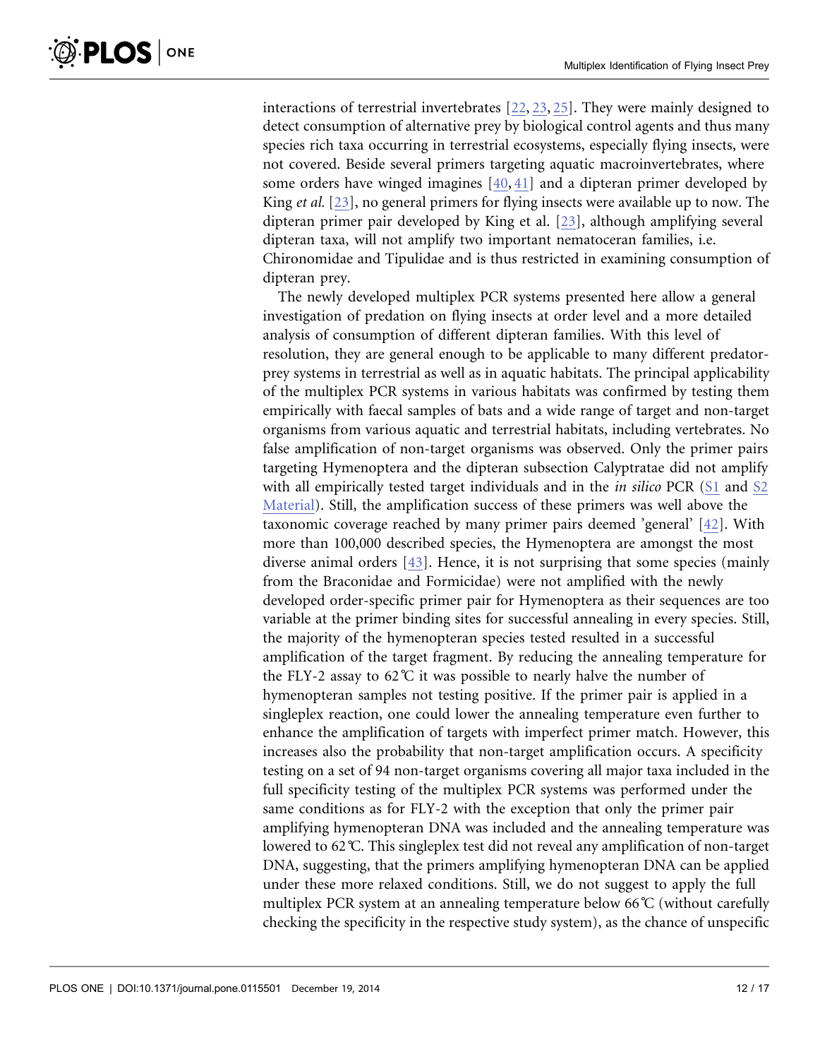interactions of terrestrial invertebrates [\[22,](#page-15-0) [23,](#page-15-0) [25\].](#page-15-0) They were mainly designed to detect consumption of alternative prey by biological control agents and thus many species rich taxa occurring in terrestrial ecosystems, especially flying insects, were not covered. Beside several primers targeting aquatic macroinvertebrates, where some orders have winged imagines [\[40,](#page-16-0) [41\]](#page-16-0) and a dipteran primer developed by King et al. [\[23\]](#page-15-0), no general primers for flying insects were available up to now. The dipteran primer pair developed by King et al. [\[23\]](#page-15-0), although amplifying several dipteran taxa, will not amplify two important nematoceran families, i.e. Chironomidae and Tipulidae and is thus restricted in examining consumption of dipteran prey.

The newly developed multiplex PCR systems presented here allow a general investigation of predation on flying insects at order level and a more detailed analysis of consumption of different dipteran families. With this level of resolution, they are general enough to be applicable to many different predatorprey systems in terrestrial as well as in aquatic habitats. The principal applicability of the multiplex PCR systems in various habitats was confirmed by testing them empirically with faecal samples of bats and a wide range of target and non-target organisms from various aquatic and terrestrial habitats, including vertebrates. No false amplification of non-target organisms was observed. Only the primer pairs targeting Hymenoptera and the dipteran subsection Calyptratae did not amplify with all empirically tested target individuals and in the *in silico* PCR ([S1](#page-13-0) and [S2](#page-13-0)) [Material](#page-13-0)). Still, the amplification success of these primers was well above the taxonomic coverage reached by many primer pairs deemed 'general' [\[42\]](#page-16-0). With more than 100,000 described species, the Hymenoptera are amongst the most diverse animal orders [\[43\]](#page-16-0). Hence, it is not surprising that some species (mainly from the Braconidae and Formicidae) were not amplified with the newly developed order-specific primer pair for Hymenoptera as their sequences are too variable at the primer binding sites for successful annealing in every species. Still, the majority of the hymenopteran species tested resulted in a successful amplification of the target fragment. By reducing the annealing temperature for the FLY-2 assay to 62 $\degree$ C it was possible to nearly halve the number of hymenopteran samples not testing positive. If the primer pair is applied in a singleplex reaction, one could lower the annealing temperature even further to enhance the amplification of targets with imperfect primer match. However, this increases also the probability that non-target amplification occurs. A specificity testing on a set of 94 non-target organisms covering all major taxa included in the full specificity testing of the multiplex PCR systems was performed under the same conditions as for FLY-2 with the exception that only the primer pair amplifying hymenopteran DNA was included and the annealing temperature was lowered to 62˚C. This singleplex test did not reveal any amplification of non-target DNA, suggesting, that the primers amplifying hymenopteran DNA can be applied under these more relaxed conditions. Still, we do not suggest to apply the full multiplex PCR system at an annealing temperature below 66˚C (without carefully checking the specificity in the respective study system), as the chance of unspecific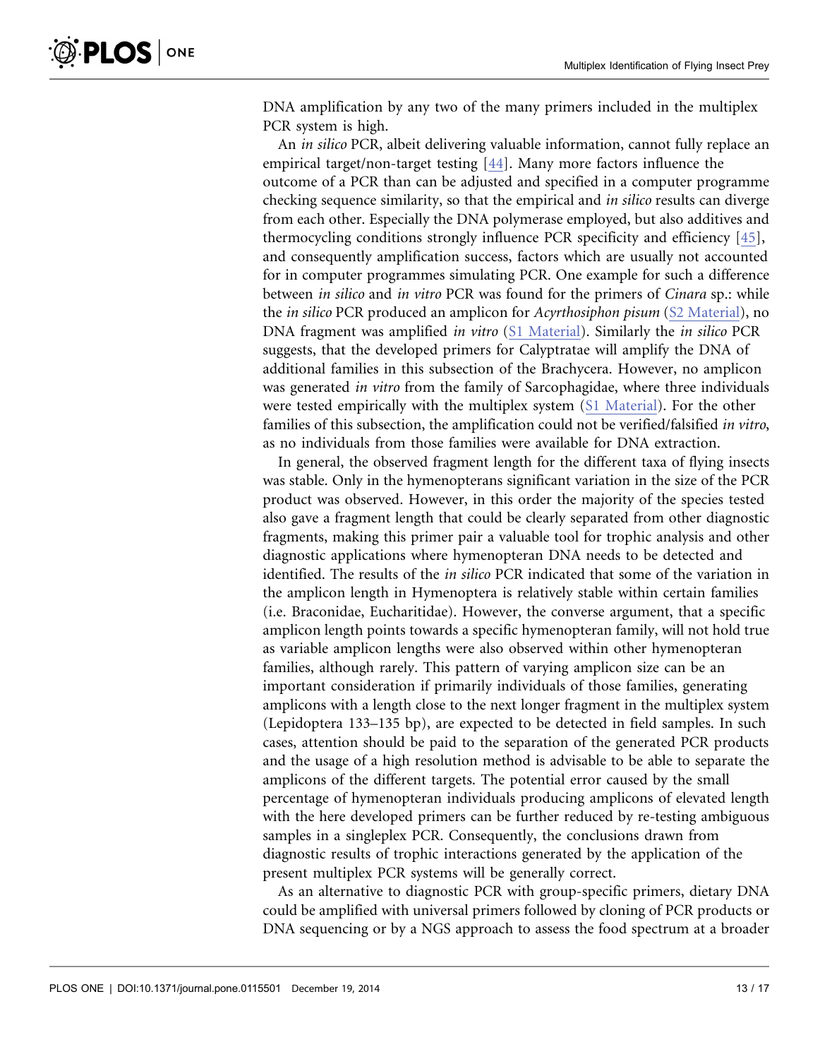DNA amplification by any two of the many primers included in the multiplex PCR system is high.

An in silico PCR, albeit delivering valuable information, cannot fully replace an empirical target/non-target testing [\[44\]](#page-16-0). Many more factors influence the outcome of a PCR than can be adjusted and specified in a computer programme checking sequence similarity, so that the empirical and in silico results can diverge from each other. Especially the DNA polymerase employed, but also additives and thermocycling conditions strongly influence PCR specificity and efficiency [\[45\],](#page-16-0) and consequently amplification success, factors which are usually not accounted for in computer programmes simulating PCR. One example for such a difference between in silico and in vitro PCR was found for the primers of Cinara sp.: while the in silico PCR produced an amplicon for Acyrthosiphon pisum ([S2 Material\)](#page-13-0), no DNA fragment was amplified in vitro [\(S1 Material\)](#page-13-0). Similarly the in silico PCR suggests, that the developed primers for Calyptratae will amplify the DNA of additional families in this subsection of the Brachycera. However, no amplicon was generated *in vitro* from the family of Sarcophagidae, where three individuals were tested empirically with the multiplex system [\(S1 Material](#page-13-0)). For the other families of this subsection, the amplification could not be verified/falsified in vitro, as no individuals from those families were available for DNA extraction.

In general, the observed fragment length for the different taxa of flying insects was stable. Only in the hymenopterans significant variation in the size of the PCR product was observed. However, in this order the majority of the species tested also gave a fragment length that could be clearly separated from other diagnostic fragments, making this primer pair a valuable tool for trophic analysis and other diagnostic applications where hymenopteran DNA needs to be detected and identified. The results of the in silico PCR indicated that some of the variation in the amplicon length in Hymenoptera is relatively stable within certain families (i.e. Braconidae, Eucharitidae). However, the converse argument, that a specific amplicon length points towards a specific hymenopteran family, will not hold true as variable amplicon lengths were also observed within other hymenopteran families, although rarely. This pattern of varying amplicon size can be an important consideration if primarily individuals of those families, generating amplicons with a length close to the next longer fragment in the multiplex system (Lepidoptera 133–135 bp), are expected to be detected in field samples. In such cases, attention should be paid to the separation of the generated PCR products and the usage of a high resolution method is advisable to be able to separate the amplicons of the different targets. The potential error caused by the small percentage of hymenopteran individuals producing amplicons of elevated length with the here developed primers can be further reduced by re-testing ambiguous samples in a singleplex PCR. Consequently, the conclusions drawn from diagnostic results of trophic interactions generated by the application of the present multiplex PCR systems will be generally correct.

As an alternative to diagnostic PCR with group-specific primers, dietary DNA could be amplified with universal primers followed by cloning of PCR products or DNA sequencing or by a NGS approach to assess the food spectrum at a broader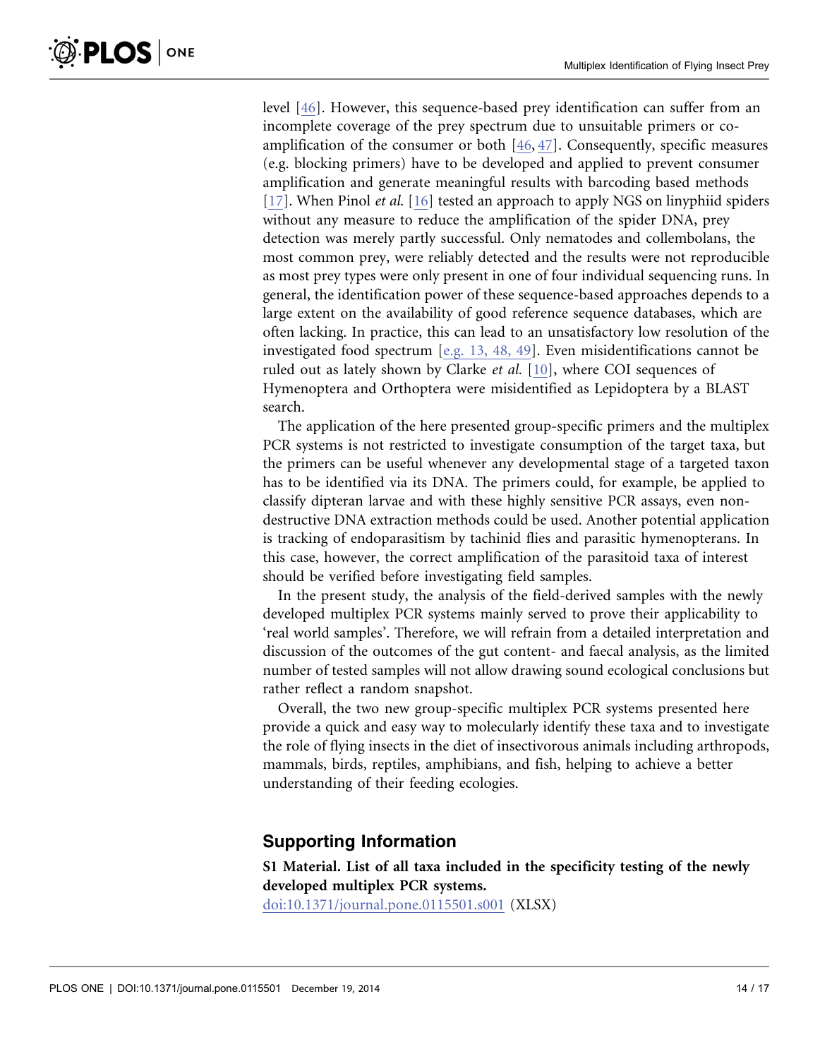<span id="page-13-0"></span>level [\[46\]](#page-16-0). However, this sequence-based prey identification can suffer from an incomplete coverage of the prey spectrum due to unsuitable primers or coamplification of the consumer or both [\[46,](#page-16-0) [47\]](#page-16-0). Consequently, specific measures (e.g. blocking primers) have to be developed and applied to prevent consumer amplification and generate meaningful results with barcoding based methods [\[17\].](#page-15-0) When Pinol *et al.* [\[16\]](#page-15-0) tested an approach to apply NGS on linyphiid spiders without any measure to reduce the amplification of the spider DNA, prey detection was merely partly successful. Only nematodes and collembolans, the most common prey, were reliably detected and the results were not reproducible as most prey types were only present in one of four individual sequencing runs. In general, the identification power of these sequence-based approaches depends to a large extent on the availability of good reference sequence databases, which are often lacking. In practice, this can lead to an unsatisfactory low resolution of the investigated food spectrum [\[e.g. 13, 48, 49\]](#page-15-0). Even misidentifications cannot be ruled out as lately shown by Clarke et al. [\[10\],](#page-14-0) where COI sequences of Hymenoptera and Orthoptera were misidentified as Lepidoptera by a BLAST search.

The application of the here presented group-specific primers and the multiplex PCR systems is not restricted to investigate consumption of the target taxa, but the primers can be useful whenever any developmental stage of a targeted taxon has to be identified via its DNA. The primers could, for example, be applied to classify dipteran larvae and with these highly sensitive PCR assays, even nondestructive DNA extraction methods could be used. Another potential application is tracking of endoparasitism by tachinid flies and parasitic hymenopterans. In this case, however, the correct amplification of the parasitoid taxa of interest should be verified before investigating field samples.

In the present study, the analysis of the field-derived samples with the newly developed multiplex PCR systems mainly served to prove their applicability to 'real world samples'. Therefore, we will refrain from a detailed interpretation and discussion of the outcomes of the gut content- and faecal analysis, as the limited number of tested samples will not allow drawing sound ecological conclusions but rather reflect a random snapshot.

Overall, the two new group-specific multiplex PCR systems presented here provide a quick and easy way to molecularly identify these taxa and to investigate the role of flying insects in the diet of insectivorous animals including arthropods, mammals, birds, reptiles, amphibians, and fish, helping to achieve a better understanding of their feeding ecologies.

# Supporting Information

S1 Material. List of all taxa included in the specificity testing of the newly developed multiplex PCR systems.

[doi:10.1371/journal.pone.0115501.s001](http://www.plosone.org/article/fetchSingleRepresentation.action?uri=info:doi/10.1371/journal.pone.0115501.s001) (XLSX)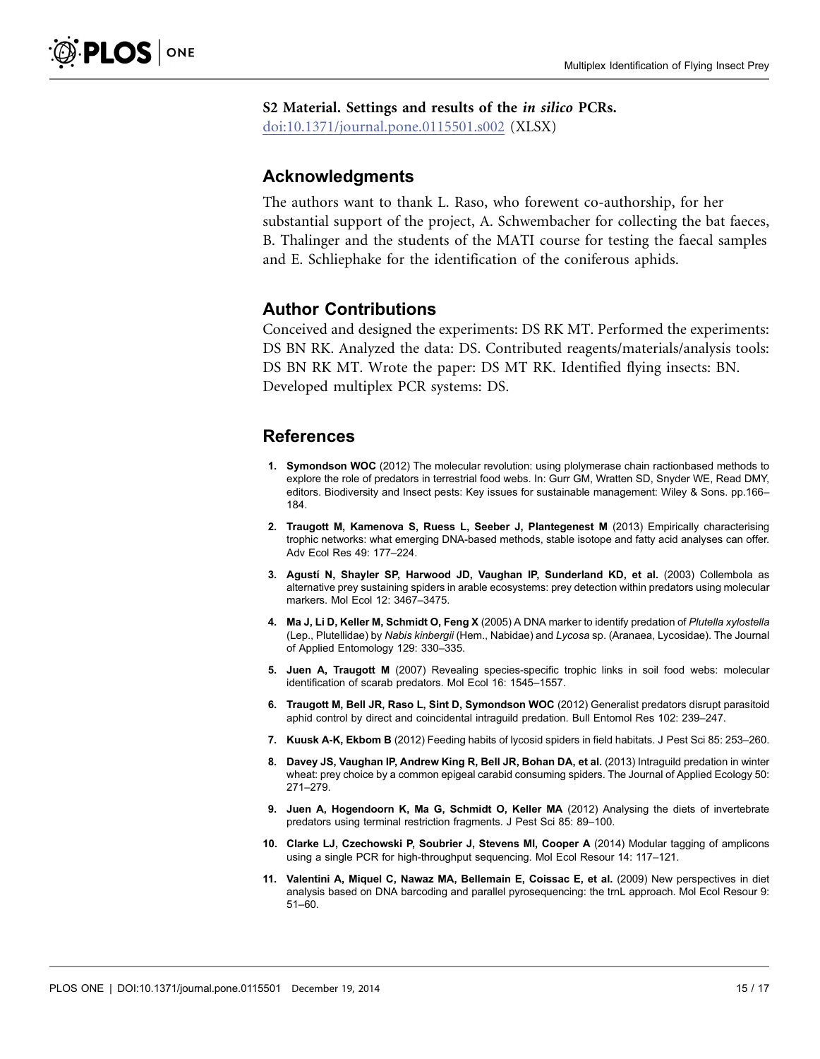<span id="page-14-0"></span>S2 Material. Settings and results of the in silico PCRs.

[doi:10.1371/journal.pone.0115501.s002](http://www.plosone.org/article/fetchSingleRepresentation.action?uri=info:doi/10.1371/journal.pone.0115501.s002) (XLSX)

### Acknowledgments

The authors want to thank L. Raso, who forewent co-authorship, for her substantial support of the project, A. Schwembacher for collecting the bat faeces, B. Thalinger and the students of the MATI course for testing the faecal samples and E. Schliephake for the identification of the coniferous aphids.

# Author Contributions

Conceived and designed the experiments: DS RK MT. Performed the experiments: DS BN RK. Analyzed the data: DS. Contributed reagents/materials/analysis tools: DS BN RK MT. Wrote the paper: DS MT RK. Identified flying insects: BN. Developed multiplex PCR systems: DS.

# **References**

- 1. Symondson WOC (2012) The molecular revolution: using plolymerase chain ractionbased methods to explore the role of predators in terrestrial food webs. In: Gurr GM, Wratten SD, Snyder WE, Read DMY, editors. Biodiversity and Insect pests: Key issues for sustainable management: Wiley & Sons. pp.166– 184.
- 2. Traugott M, Kamenova S, Ruess L, Seeber J, Plantegenest M (2013) Empirically characterising trophic networks: what emerging DNA-based methods, stable isotope and fatty acid analyses can offer. Adv Ecol Res 49: 177–224.
- 3. Agustí N, Shayler SP, Harwood JD, Vaughan IP, Sunderland KD, et al. (2003) Collembola as alternative prey sustaining spiders in arable ecosystems: prey detection within predators using molecular markers. Mol Ecol 12: 3467–3475.
- 4. Ma J, Li D, Keller M, Schmidt O, Feng X (2005) A DNA marker to identify predation of Plutella xylostella (Lep., Plutellidae) by Nabis kinbergii (Hem., Nabidae) and Lycosa sp. (Aranaea, Lycosidae). The Journal of Applied Entomology 129: 330–335.
- 5. Juen A, Traugott M (2007) Revealing species-specific trophic links in soil food webs: molecular identification of scarab predators. Mol Ecol 16: 1545–1557.
- 6. Traugott M, Bell JR, Raso L, Sint D, Symondson WOC (2012) Generalist predators disrupt parasitoid aphid control by direct and coincidental intraguild predation. Bull Entomol Res 102: 239–247.
- 7. Kuusk A-K, Ekbom B (2012) Feeding habits of lycosid spiders in field habitats. J Pest Sci 85: 253–260.
- 8. Davey JS, Vaughan IP, Andrew King R, Bell JR, Bohan DA, et al. (2013) Intraguild predation in winter wheat: prey choice by a common epigeal carabid consuming spiders. The Journal of Applied Ecology 50: 271–279.
- 9. Juen A, Hogendoorn K, Ma G, Schmidt O, Keller MA (2012) Analysing the diets of invertebrate predators using terminal restriction fragments. J Pest Sci 85: 89–100.
- 10. Clarke LJ, Czechowski P, Soubrier J, Stevens MI, Cooper A (2014) Modular tagging of amplicons using a single PCR for high-throughput sequencing. Mol Ecol Resour 14: 117–121.
- 11. Valentini A, Miquel C, Nawaz MA, Bellemain E, Coissac E, et al. (2009) New perspectives in diet analysis based on DNA barcoding and parallel pyrosequencing: the trnL approach. Mol Ecol Resour 9: 51–60.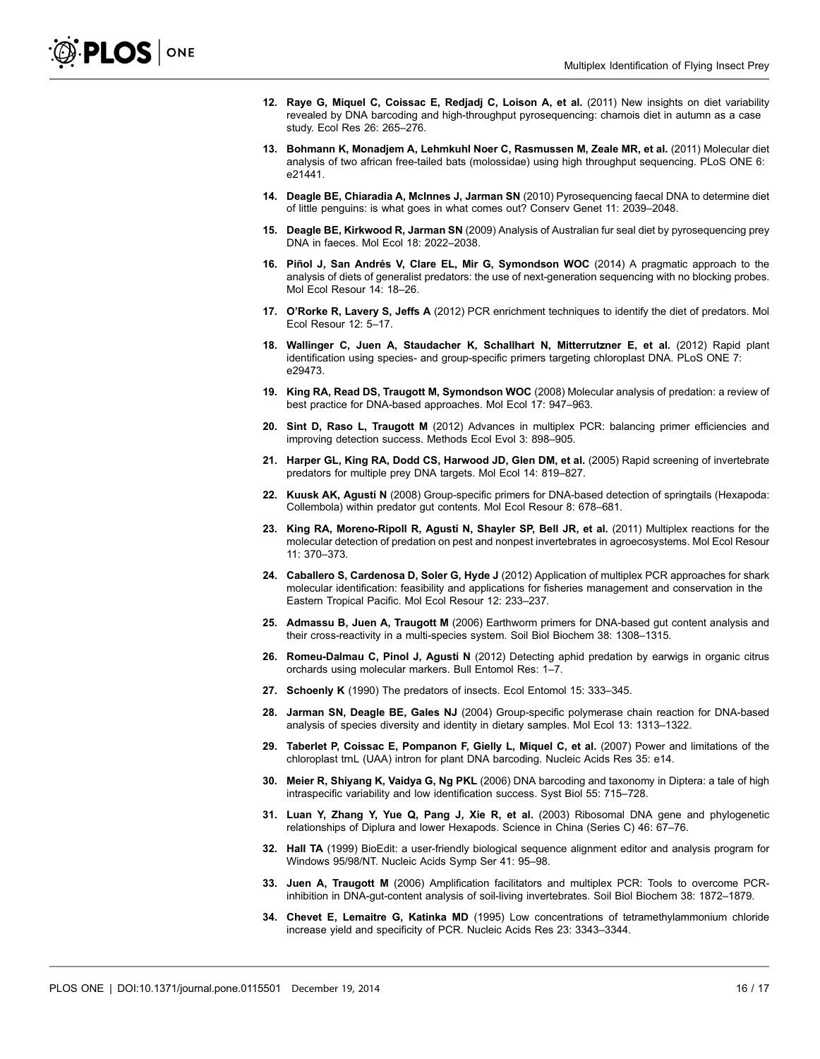- <span id="page-15-0"></span>12. Raye G, Miquel C, Coissac E, Redjadj C, Loison A, et al. (2011) New insights on diet variability revealed by DNA barcoding and high-throughput pyrosequencing: chamois diet in autumn as a case study. Ecol Res 26: 265–276.
- 13. Bohmann K, Monadjem A, Lehmkuhl Noer C, Rasmussen M, Zeale MR, et al. (2011) Molecular diet analysis of two african free-tailed bats (molossidae) using high throughput sequencing. PLoS ONE 6: e21441.
- 14. Deagle BE, Chiaradia A, McInnes J, Jarman SN (2010) Pyrosequencing faecal DNA to determine diet of little penguins: is what goes in what comes out? Conserv Genet 11: 2039–2048.
- 15. Deagle BE, Kirkwood R, Jarman SN (2009) Analysis of Australian fur seal diet by pyrosequencing prey DNA in faeces. Mol Ecol 18: 2022–2038.
- 16. Piñol J, San Andrés V, Clare EL, Mir G, Symondson WOC (2014) A pragmatic approach to the analysis of diets of generalist predators: the use of next-generation sequencing with no blocking probes. Mol Ecol Resour 14: 18–26.
- 17. O'Rorke R, Lavery S, Jeffs A (2012) PCR enrichment techniques to identify the diet of predators. Mol Ecol Resour 12: 5–17.
- 18. Wallinger C, Juen A, Staudacher K, Schallhart N, Mitterrutzner E, et al. (2012) Rapid plant identification using species- and group-specific primers targeting chloroplast DNA. PLoS ONE 7: e29473.
- 19. King RA, Read DS, Traugott M, Symondson WOC (2008) Molecular analysis of predation: a review of best practice for DNA-based approaches. Mol Ecol 17: 947–963.
- 20. Sint D, Raso L, Traugott M (2012) Advances in multiplex PCR: balancing primer efficiencies and improving detection success. Methods Ecol Evol 3: 898–905.
- 21. Harper GL, King RA, Dodd CS, Harwood JD, Glen DM, et al. (2005) Rapid screening of invertebrate predators for multiple prey DNA targets. Mol Ecol 14: 819–827.
- 22. Kuusk AK, Agustí N (2008) Group-specific primers for DNA-based detection of springtails (Hexapoda: Collembola) within predator gut contents. Mol Ecol Resour 8: 678–681.
- 23. King RA, Moreno-Ripoll R, Agustí N, Shayler SP, Bell JR, et al. (2011) Multiplex reactions for the molecular detection of predation on pest and nonpest invertebrates in agroecosystems. Mol Ecol Resour 11: 370–373.
- 24. Caballero S, Cardenosa D, Soler G, Hyde J (2012) Application of multiplex PCR approaches for shark molecular identification: feasibility and applications for fisheries management and conservation in the Eastern Tropical Pacific. Mol Ecol Resour 12: 233–237.
- 25. Admassu B, Juen A, Traugott M (2006) Earthworm primers for DNA-based gut content analysis and their cross-reactivity in a multi-species system. Soil Biol Biochem 38: 1308-1315.
- 26. Romeu-Dalmau C, Pinol J, Agustí N (2012) Detecting aphid predation by earwigs in organic citrus orchards using molecular markers. Bull Entomol Res: 1–7.
- 27. Schoenly K (1990) The predators of insects. Ecol Entomol 15: 333-345.
- 28. Jarman SN, Deagle BE, Gales NJ (2004) Group-specific polymerase chain reaction for DNA-based analysis of species diversity and identity in dietary samples. Mol Ecol 13: 1313–1322.
- 29. Taberlet P, Coissac E, Pompanon F, Gielly L, Miquel C, et al. (2007) Power and limitations of the chloroplast trnL (UAA) intron for plant DNA barcoding. Nucleic Acids Res 35: e14.
- 30. Meier R, Shiyang K, Vaidya G, Ng PKL (2006) DNA barcoding and taxonomy in Diptera: a tale of high intraspecific variability and low identification success. Syst Biol 55: 715–728.
- 31. Luan Y, Zhang Y, Yue Q, Pang J, Xie R, et al. (2003) Ribosomal DNA gene and phylogenetic relationships of Diplura and lower Hexapods. Science in China (Series C) 46: 67–76.
- 32. Hall TA (1999) BioEdit: a user-friendly biological sequence alignment editor and analysis program for Windows 95/98/NT. Nucleic Acids Symp Ser 41: 95–98.
- 33. Juen A, Traugott M (2006) Amplification facilitators and multiplex PCR: Tools to overcome PCRinhibition in DNA-gut-content analysis of soil-living invertebrates. Soil Biol Biochem 38: 1872–1879.
- 34. Chevet E, Lemaitre G, Katinka MD (1995) Low concentrations of tetramethylammonium chloride increase yield and specificity of PCR. Nucleic Acids Res 23: 3343–3344.